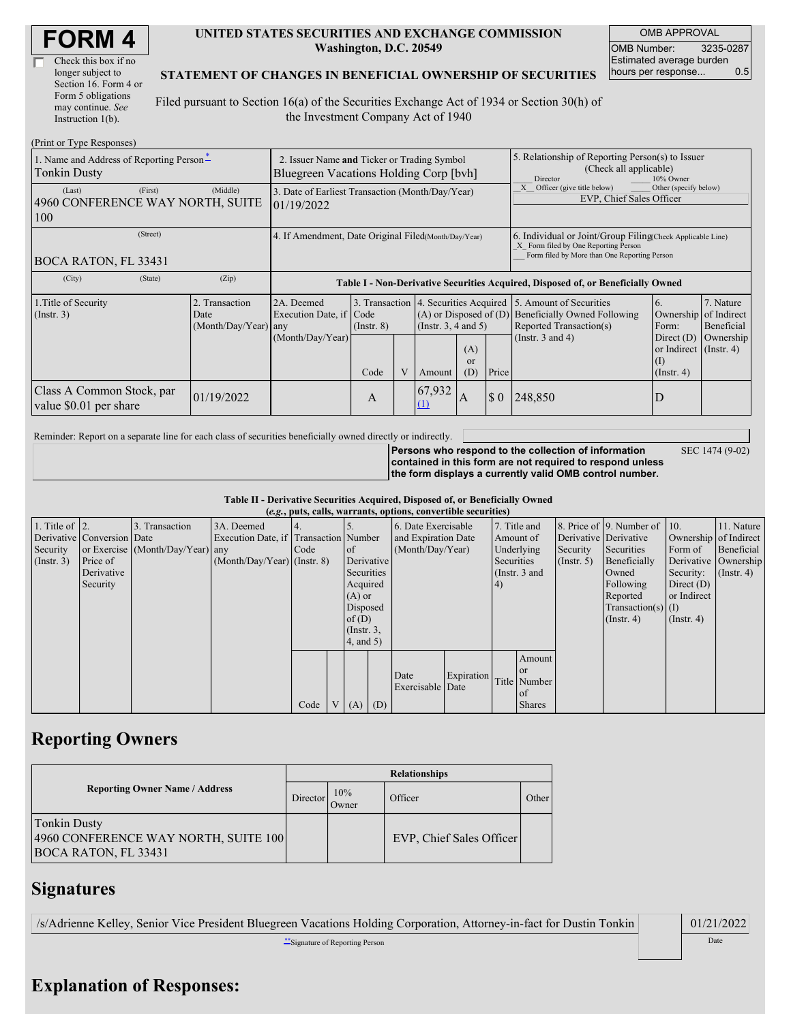| Check this box if no  |
|-----------------------|
| longer subject to     |
| Section 16. Form 4 or |
| Form 5 obligations    |
| may continue. See     |
| Instruction 1(b).     |

## **UNITED STATES SECURITIES AND EXCHANGE COMMISSION Washington, D.C. 20549**

OMB APPROVAL OMB Number: 3235-0287 Estimated average burden hours per response... 0.5

## **STATEMENT OF CHANGES IN BENEFICIAL OWNERSHIP OF SECURITIES**

Filed pursuant to Section 16(a) of the Securities Exchange Act of 1934 or Section 30(h) of the Investment Company Act of 1940

| (Print or Type Responses)                                    |                                                                                       |                                                                                  |                                                                  |  |                                                                  |                                                                                                     |                                                                                                                                                    |                                                                                                             |                                                                                                    |                                                     |
|--------------------------------------------------------------|---------------------------------------------------------------------------------------|----------------------------------------------------------------------------------|------------------------------------------------------------------|--|------------------------------------------------------------------|-----------------------------------------------------------------------------------------------------|----------------------------------------------------------------------------------------------------------------------------------------------------|-------------------------------------------------------------------------------------------------------------|----------------------------------------------------------------------------------------------------|-----------------------------------------------------|
| 1. Name and Address of Reporting Person-<br>Tonkin Dusty     | 2. Issuer Name and Ticker or Trading Symbol<br>Bluegreen Vacations Holding Corp [byh] |                                                                                  |                                                                  |  |                                                                  | 5. Relationship of Reporting Person(s) to Issuer<br>(Check all applicable)<br>10% Owner<br>Director |                                                                                                                                                    |                                                                                                             |                                                                                                    |                                                     |
| (First)<br>(Last)<br>4960 CONFERENCE WAY NORTH, SUITE<br>100 | (Middle)                                                                              | 3. Date of Earliest Transaction (Month/Day/Year)<br>01/19/2022                   |                                                                  |  |                                                                  |                                                                                                     | Officer (give title below)<br>Other (specify below)<br>EVP, Chief Sales Officer                                                                    |                                                                                                             |                                                                                                    |                                                     |
| (Street)<br>BOCA RATON, FL 33431                             | 4. If Amendment, Date Original Filed(Month/Day/Year)                                  |                                                                                  |                                                                  |  |                                                                  |                                                                                                     | 6. Individual or Joint/Group Filing Check Applicable Line)<br>X Form filed by One Reporting Person<br>Form filed by More than One Reporting Person |                                                                                                             |                                                                                                    |                                                     |
| (State)<br>(City)                                            | (Zip)                                                                                 | Table I - Non-Derivative Securities Acquired, Disposed of, or Beneficially Owned |                                                                  |  |                                                                  |                                                                                                     |                                                                                                                                                    |                                                                                                             |                                                                                                    |                                                     |
| 1. Title of Security<br>(Insert. 3)                          | 2. Transaction<br>Date<br>(Month/Day/Year) any                                        | 2A. Deemed<br>Execution Date, if Code<br>(Month/Day/Year)                        | 3. Transaction 4. Securities Acquired<br>$($ Instr. $8)$<br>Code |  | $(A)$ or Disposed of $(D)$<br>(Instr. $3, 4$ and $5$ )<br>Amount | (A)<br>or<br>(D)                                                                                    | Price                                                                                                                                              | 5. Amount of Securities<br>Beneficially Owned Following<br>Reported Transaction(s)<br>(Instr. $3$ and $4$ ) | 6.<br>Ownership<br>Form:<br>Direct $(D)$<br>or Indirect (Instr. 4)<br>$\rm(I)$<br>$($ Instr. 4 $)$ | 7. Nature<br>of Indirect<br>Beneficial<br>Ownership |
| Class A Common Stock, par<br>value \$0.01 per share          | 01/19/2022                                                                            |                                                                                  | A                                                                |  | 67,932<br>(1)                                                    | A                                                                                                   | $\sqrt{5}0$                                                                                                                                        | 248,850                                                                                                     | D                                                                                                  |                                                     |

Reminder: Report on a separate line for each class of securities beneficially owned directly or indirectly.

**Persons who respond to the collection of information contained in this form are not required to respond unless the form displays a currently valid OMB control number.**

**Table II - Derivative Securities Acquired, Disposed of, or Beneficially Owned**

|                        |                            |                                  |                                       |      |          |                 |     | (e.g., puts, calls, warrants, options, convertible securities) |               |  |                       |              |                              |                  |            |
|------------------------|----------------------------|----------------------------------|---------------------------------------|------|----------|-----------------|-----|----------------------------------------------------------------|---------------|--|-----------------------|--------------|------------------------------|------------------|------------|
| 1. Title of $\vert$ 2. |                            | 3. Transaction                   | 3A. Deemed                            |      |          |                 |     | 6. Date Exercisable                                            |               |  | 7. Title and          |              | 8. Price of 9. Number of 10. |                  | 11. Nature |
|                        | Derivative Conversion Date |                                  | Execution Date, if Transaction Number |      |          |                 |     | and Expiration Date                                            | Amount of     |  | Derivative Derivative |              | Ownership of Indirect        |                  |            |
| Security               |                            | or Exercise (Month/Day/Year) any |                                       | Code |          | <sub>of</sub>   |     | (Month/Day/Year)<br>Underlying                                 |               |  |                       | Security     | Securities                   | Form of          | Beneficial |
| $($ Instr. 3 $)$       | Price of                   |                                  | $(Month/Day/Year)$ (Instr. 8)         |      |          | Derivative      |     |                                                                | Securities    |  | $($ Instr. 5)         | Beneficially | Derivative Ownership         |                  |            |
|                        | Derivative                 |                                  |                                       |      |          | Securities      |     |                                                                | (Instr. 3 and |  | Owned                 | Security:    | $($ Instr. 4)                |                  |            |
|                        | Security                   |                                  |                                       |      | Acquired |                 |     | (4)                                                            |               |  |                       | Following    | Direct $(D)$                 |                  |            |
|                        |                            |                                  |                                       |      | $(A)$ or |                 |     |                                                                |               |  |                       | Reported     | or Indirect                  |                  |            |
|                        |                            |                                  |                                       |      | Disposed |                 |     |                                                                |               |  |                       |              | $Transaction(s)$ (I)         |                  |            |
|                        |                            |                                  |                                       |      |          | of $(D)$        |     |                                                                |               |  |                       |              | $($ Instr. 4)                | $($ Instr. 4 $)$ |            |
|                        |                            |                                  |                                       |      |          | $($ Instr. $3,$ |     |                                                                |               |  |                       |              |                              |                  |            |
|                        |                            |                                  |                                       |      |          | $4$ , and $5$ ) |     |                                                                |               |  |                       |              |                              |                  |            |
|                        |                            |                                  |                                       |      |          |                 |     |                                                                |               |  | Amount                |              |                              |                  |            |
|                        |                            |                                  |                                       |      |          |                 |     |                                                                |               |  | <sub>or</sub>         |              |                              |                  |            |
|                        |                            |                                  |                                       |      |          |                 |     | Date                                                           | Expiration    |  | Title Number          |              |                              |                  |            |
|                        |                            |                                  |                                       |      |          |                 |     | Exercisable Date                                               |               |  | of                    |              |                              |                  |            |
|                        |                            |                                  |                                       | Code |          | (A)             | (D) |                                                                |               |  | <b>Shares</b>         |              |                              |                  |            |

## **Reporting Owners**

|                                                                                            | <b>Relationships</b> |              |                          |       |  |  |  |  |
|--------------------------------------------------------------------------------------------|----------------------|--------------|--------------------------|-------|--|--|--|--|
| <b>Reporting Owner Name / Address</b>                                                      | Director             | 10%<br>Owner | Officer                  | Other |  |  |  |  |
| <b>Tonkin Dusty</b><br>4960 CONFERENCE WAY NORTH, SUITE 100<br><b>BOCA RATON, FL 33431</b> |                      |              | EVP, Chief Sales Officer |       |  |  |  |  |

## **Signatures**

/s/Adrienne Kelley, Senior Vice President Bluegreen Vacations Holding Corporation, Attorney-in-fact for Dustin Tonkin 01/21/2022

\*\*Signature of Reporting Person Date **Date** 

SEC 1474 (9-02)